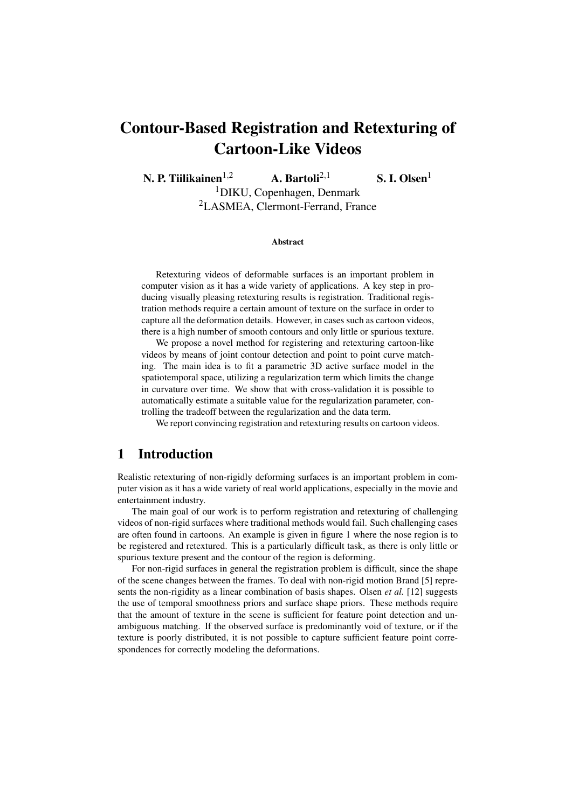# Contour-Based Registration and Retexturing of Cartoon-Like Videos

N. P. Tiilikainen<sup>1,2</sup> A. Bartoli<sup>2,1</sup> S. I. Olsen<sup>1</sup>

<sup>1</sup>DIKU, Copenhagen, Denmark <sup>2</sup>LASMEA, Clermont-Ferrand, France

#### Abstract

Retexturing videos of deformable surfaces is an important problem in computer vision as it has a wide variety of applications. A key step in producing visually pleasing retexturing results is registration. Traditional registration methods require a certain amount of texture on the surface in order to capture all the deformation details. However, in cases such as cartoon videos, there is a high number of smooth contours and only little or spurious texture.

We propose a novel method for registering and retexturing cartoon-like videos by means of joint contour detection and point to point curve matching. The main idea is to fit a parametric 3D active surface model in the spatiotemporal space, utilizing a regularization term which limits the change in curvature over time. We show that with cross-validation it is possible to automatically estimate a suitable value for the regularization parameter, controlling the tradeoff between the regularization and the data term.

We report convincing registration and retexturing results on cartoon videos.

## 1 Introduction

Realistic retexturing of non-rigidly deforming surfaces is an important problem in computer vision as it has a wide variety of real world applications, especially in the movie and entertainment industry.

The main goal of our work is to perform registration and retexturing of challenging videos of non-rigid surfaces where traditional methods would fail. Such challenging cases are often found in cartoons. An example is given in figure 1 where the nose region is to be registered and retextured. This is a particularly difficult task, as there is only little or spurious texture present and the contour of the region is deforming.

For non-rigid surfaces in general the registration problem is difficult, since the shape of the scene changes between the frames. To deal with non-rigid motion Brand [5] represents the non-rigidity as a linear combination of basis shapes. Olsen *et al.* [12] suggests the use of temporal smoothness priors and surface shape priors. These methods require that the amount of texture in the scene is sufficient for feature point detection and unambiguous matching. If the observed surface is predominantly void of texture, or if the texture is poorly distributed, it is not possible to capture sufficient feature point correspondences for correctly modeling the deformations.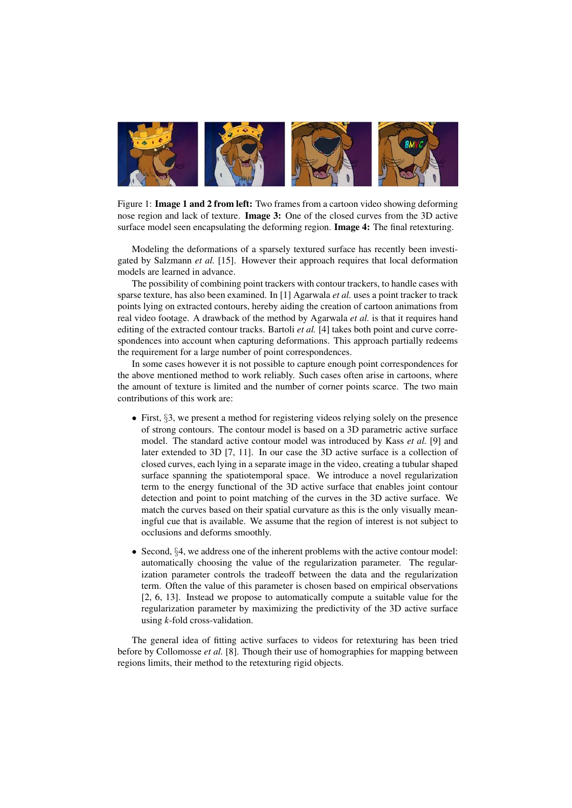

Figure 1: Image 1 and 2 from left: Two frames from a cartoon video showing deforming nose region and lack of texture. Image 3: One of the closed curves from the 3D active surface model seen encapsulating the deforming region. **Image 4:** The final retexturing.

Modeling the deformations of a sparsely textured surface has recently been investigated by Salzmann *et al.* [15]. However their approach requires that local deformation models are learned in advance.

The possibility of combining point trackers with contour trackers, to handle cases with sparse texture, has also been examined. In [1] Agarwala *et al.* uses a point tracker to track points lying on extracted contours, hereby aiding the creation of cartoon animations from real video footage. A drawback of the method by Agarwala *et al.* is that it requires hand editing of the extracted contour tracks. Bartoli *et al.* [4] takes both point and curve correspondences into account when capturing deformations. This approach partially redeems the requirement for a large number of point correspondences.

In some cases however it is not possible to capture enough point correspondences for the above mentioned method to work reliably. Such cases often arise in cartoons, where the amount of texture is limited and the number of corner points scarce. The two main contributions of this work are:

- First, §3, we present a method for registering videos relying solely on the presence of strong contours. The contour model is based on a 3D parametric active surface model. The standard active contour model was introduced by Kass *et al.* [9] and later extended to 3D [7, 11]. In our case the 3D active surface is a collection of closed curves, each lying in a separate image in the video, creating a tubular shaped surface spanning the spatiotemporal space. We introduce a novel regularization term to the energy functional of the 3D active surface that enables joint contour detection and point to point matching of the curves in the 3D active surface. We match the curves based on their spatial curvature as this is the only visually meaningful cue that is available. We assume that the region of interest is not subject to occlusions and deforms smoothly.
- Second, §4, we address one of the inherent problems with the active contour model: automatically choosing the value of the regularization parameter. The regularization parameter controls the tradeoff between the data and the regularization term. Often the value of this parameter is chosen based on empirical observations [2, 6, 13]. Instead we propose to automatically compute a suitable value for the regularization parameter by maximizing the predictivity of the 3D active surface using *k*-fold cross-validation.

The general idea of fitting active surfaces to videos for retexturing has been tried before by Collomosse *et al.* [8]. Though their use of homographies for mapping between regions limits, their method to the retexturing rigid objects.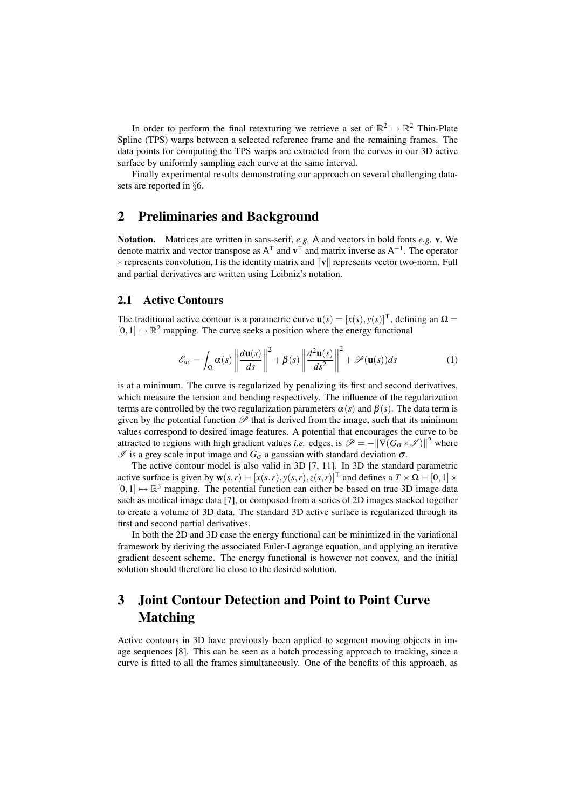In order to perform the final retexturing we retrieve a set of  $\mathbb{R}^2 \mapsto \mathbb{R}^2$  Thin-Plate Spline (TPS) warps between a selected reference frame and the remaining frames. The data points for computing the TPS warps are extracted from the curves in our 3D active surface by uniformly sampling each curve at the same interval.

Finally experimental results demonstrating our approach on several challenging datasets are reported in §6.

## 2 Preliminaries and Background

Notation. Matrices are written in sans-serif, *e.g.* A and vectors in bold fonts *e.g.* v. We denote matrix and vector transpose as  $A^T$  and  $v^T$  and matrix inverse as  $A^{-1}$ . The operator ∗ represents convolution, I is the identity matrix and kvk represents vector two-norm. Full and partial derivatives are written using Leibniz's notation.

#### 2.1 Active Contours

The traditional active contour is a parametric curve  $\mathbf{u}(s) = [x(s), y(s)]^T$ , defining an  $\Omega =$  $[0,1] \mapsto \mathbb{R}^2$  mapping. The curve seeks a position where the energy functional

$$
\mathcal{E}_{ac} = \int_{\Omega} \alpha(s) \left\| \frac{d\mathbf{u}(s)}{ds} \right\|^2 + \beta(s) \left\| \frac{d^2 \mathbf{u}(s)}{ds^2} \right\|^2 + \mathcal{P}(\mathbf{u}(s))ds \tag{1}
$$

is at a minimum. The curve is regularized by penalizing its first and second derivatives, which measure the tension and bending respectively. The influence of the regularization terms are controlled by the two regularization parameters  $\alpha(s)$  and  $\beta(s)$ . The data term is given by the potential function  $\mathscr P$  that is derived from the image, such that its minimum values correspond to desired image features. A potential that encourages the curve to be attracted to regions with high gradient values *i.e.* edges, is  $\mathscr{P} = -\|\nabla (G_{\sigma} * \mathscr{I})\|^2$  where  $\mathscr I$  is a grey scale input image and  $G_{\sigma}$  a gaussian with standard deviation  $\sigma$ .

The active contour model is also valid in 3D [7, 11]. In 3D the standard parametric active surface is given by  $\mathbf{w}(s,r) = [x(s,r), y(s,r), z(s,r)]^\mathsf{T}$  and defines a  $T \times \Omega = [0,1] \times$  $[0,1] \mapsto \mathbb{R}^3$  mapping. The potential function can either be based on true 3D image data such as medical image data [7], or composed from a series of 2D images stacked together to create a volume of 3D data. The standard 3D active surface is regularized through its first and second partial derivatives.

In both the 2D and 3D case the energy functional can be minimized in the variational framework by deriving the associated Euler-Lagrange equation, and applying an iterative gradient descent scheme. The energy functional is however not convex, and the initial solution should therefore lie close to the desired solution.

## 3 Joint Contour Detection and Point to Point Curve Matching

Active contours in 3D have previously been applied to segment moving objects in image sequences [8]. This can be seen as a batch processing approach to tracking, since a curve is fitted to all the frames simultaneously. One of the benefits of this approach, as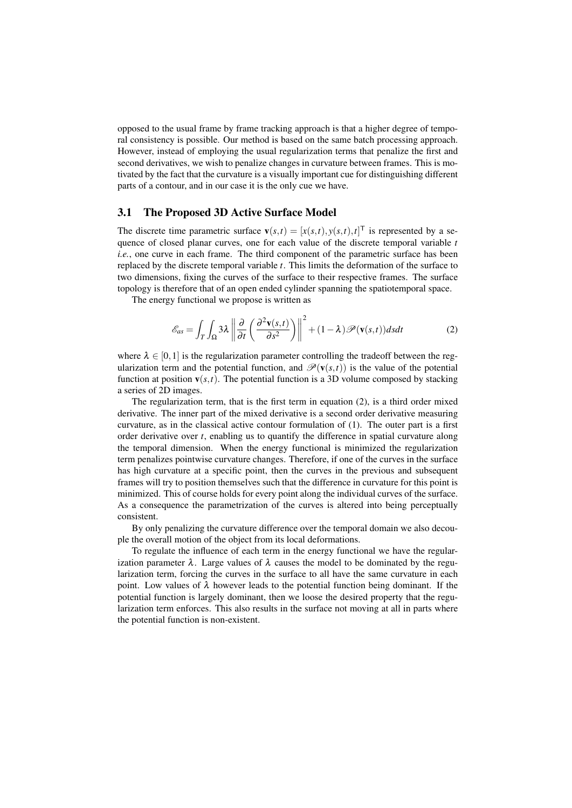opposed to the usual frame by frame tracking approach is that a higher degree of temporal consistency is possible. Our method is based on the same batch processing approach. However, instead of employing the usual regularization terms that penalize the first and second derivatives, we wish to penalize changes in curvature between frames. This is motivated by the fact that the curvature is a visually important cue for distinguishing different parts of a contour, and in our case it is the only cue we have.

#### 3.1 The Proposed 3D Active Surface Model

The discrete time parametric surface  $\mathbf{v}(s,t) = [x(s,t), y(s,t), t]^T$  is represented by a sequence of closed planar curves, one for each value of the discrete temporal variable *t i.e.*, one curve in each frame. The third component of the parametric surface has been replaced by the discrete temporal variable *t*. This limits the deformation of the surface to two dimensions, fixing the curves of the surface to their respective frames. The surface topology is therefore that of an open ended cylinder spanning the spatiotemporal space.

The energy functional we propose is written as

$$
\mathcal{E}_{as} = \int_{T} \int_{\Omega} 3\lambda \left\| \frac{\partial}{\partial t} \left( \frac{\partial^{2} \mathbf{v}(s, t)}{\partial s^{2}} \right) \right\|^{2} + (1 - \lambda) \mathcal{P}(\mathbf{v}(s, t)) ds dt \tag{2}
$$

where  $\lambda \in [0,1]$  is the regularization parameter controlling the tradeoff between the regularization term and the potential function, and  $\mathcal{P}(\mathbf{v}(s,t))$  is the value of the potential function at position  $\mathbf{v}(s,t)$ . The potential function is a 3D volume composed by stacking a series of 2D images.

The regularization term, that is the first term in equation (2), is a third order mixed derivative. The inner part of the mixed derivative is a second order derivative measuring curvature, as in the classical active contour formulation of (1). The outer part is a first order derivative over *t*, enabling us to quantify the difference in spatial curvature along the temporal dimension. When the energy functional is minimized the regularization term penalizes pointwise curvature changes. Therefore, if one of the curves in the surface has high curvature at a specific point, then the curves in the previous and subsequent frames will try to position themselves such that the difference in curvature for this point is minimized. This of course holds for every point along the individual curves of the surface. As a consequence the parametrization of the curves is altered into being perceptually consistent.

By only penalizing the curvature difference over the temporal domain we also decouple the overall motion of the object from its local deformations.

To regulate the influence of each term in the energy functional we have the regularization parameter  $\lambda$ . Large values of  $\lambda$  causes the model to be dominated by the regularization term, forcing the curves in the surface to all have the same curvature in each point. Low values of  $\lambda$  however leads to the potential function being dominant. If the potential function is largely dominant, then we loose the desired property that the regularization term enforces. This also results in the surface not moving at all in parts where the potential function is non-existent.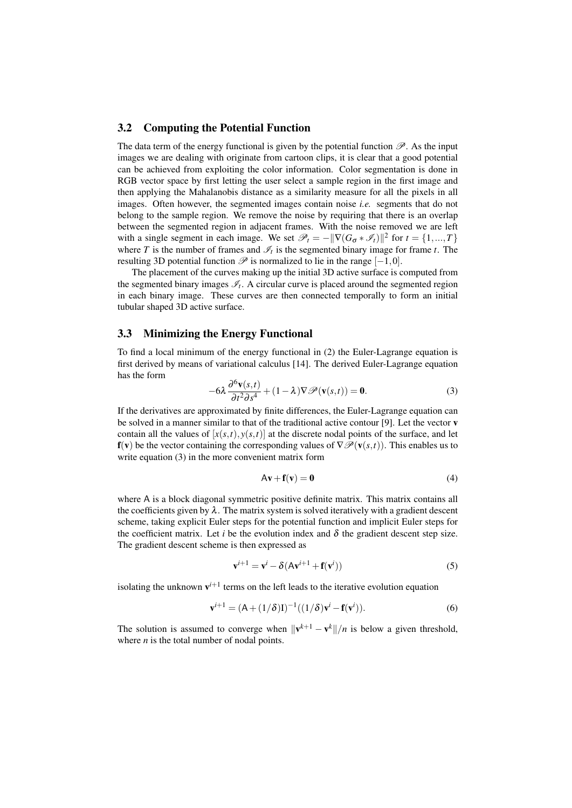#### 3.2 Computing the Potential Function

The data term of the energy functional is given by the potential function  $\mathscr{P}$ . As the input images we are dealing with originate from cartoon clips, it is clear that a good potential can be achieved from exploiting the color information. Color segmentation is done in RGB vector space by first letting the user select a sample region in the first image and then applying the Mahalanobis distance as a similarity measure for all the pixels in all images. Often however, the segmented images contain noise *i.e.* segments that do not belong to the sample region. We remove the noise by requiring that there is an overlap between the segmented region in adjacent frames. With the noise removed we are left with a single segment in each image. We set  $\mathcal{P}_t = -\|\nabla(G_{\sigma} * \mathcal{I}_t)\|^2$  for  $t = \{1, ..., T\}$ where *T* is the number of frames and  $\mathcal{I}_t$  is the segmented binary image for frame *t*. The resulting 3D potential function  $\mathscr P$  is normalized to lie in the range  $[-1,0]$ .

The placement of the curves making up the initial 3D active surface is computed from the segmented binary images  $\mathcal{I}_t$ . A circular curve is placed around the segmented region in each binary image. These curves are then connected temporally to form an initial tubular shaped 3D active surface.

#### 3.3 Minimizing the Energy Functional

To find a local minimum of the energy functional in (2) the Euler-Lagrange equation is first derived by means of variational calculus [14]. The derived Euler-Lagrange equation has the form

$$
-6\lambda \frac{\partial^6 \mathbf{v}(s,t)}{\partial t^2 \partial s^4} + (1 - \lambda) \nabla \mathcal{P}(\mathbf{v}(s,t)) = \mathbf{0}.
$$
 (3)

If the derivatives are approximated by finite differences, the Euler-Lagrange equation can be solved in a manner similar to that of the traditional active contour [9]. Let the vector v contain all the values of  $[x(s,t), y(s,t)]$  at the discrete nodal points of the surface, and let  $f(v)$  be the vector containing the corresponding values of  $\nabla \mathcal{P}(v(s,t))$ . This enables us to write equation (3) in the more convenient matrix form

$$
Av + f(v) = 0 \tag{4}
$$

where A is a block diagonal symmetric positive definite matrix. This matrix contains all the coefficients given by  $\lambda$ . The matrix system is solved iteratively with a gradient descent scheme, taking explicit Euler steps for the potential function and implicit Euler steps for the coefficient matrix. Let *i* be the evolution index and  $\delta$  the gradient descent step size. The gradient descent scheme is then expressed as

$$
\mathbf{v}^{i+1} = \mathbf{v}^i - \delta(\mathbf{A}\mathbf{v}^{i+1} + \mathbf{f}(\mathbf{v}^i))
$$
\n(5)

isolating the unknown  $v^{i+1}$  terms on the left leads to the iterative evolution equation

$$
\mathbf{v}^{i+1} = (\mathbf{A} + (1/\delta)\mathbf{I})^{-1}((1/\delta)\mathbf{v}^i - \mathbf{f}(\mathbf{v}^i)).
$$
 (6)

The solution is assumed to converge when  $\|\mathbf{v}^{k+1} - \mathbf{v}^{k}\|/n$  is below a given threshold, where *n* is the total number of nodal points.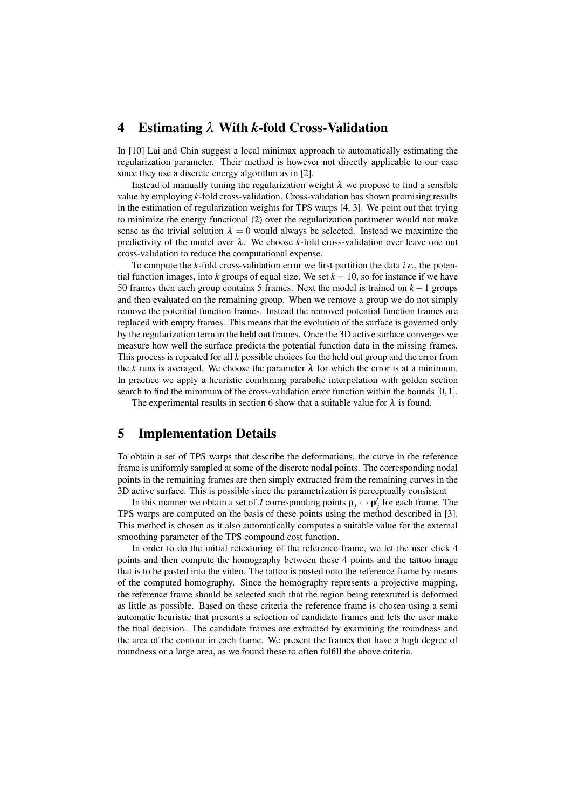## 4 Estimating λ With *k*-fold Cross-Validation

In [10] Lai and Chin suggest a local minimax approach to automatically estimating the regularization parameter. Their method is however not directly applicable to our case since they use a discrete energy algorithm as in [2].

Instead of manually tuning the regularization weight  $\lambda$  we propose to find a sensible value by employing *k*-fold cross-validation. Cross-validation has shown promising results in the estimation of regularization weights for TPS warps [4, 3]. We point out that trying to minimize the energy functional (2) over the regularization parameter would not make sense as the trivial solution  $\lambda = 0$  would always be selected. Instead we maximize the predictivity of the model over  $\lambda$ . We choose *k*-fold cross-validation over leave one out cross-validation to reduce the computational expense.

To compute the *k*-fold cross-validation error we first partition the data *i.e.*, the potential function images, into *k* groups of equal size. We set  $k = 10$ , so for instance if we have 50 frames then each group contains 5 frames. Next the model is trained on *k* −1 groups and then evaluated on the remaining group. When we remove a group we do not simply remove the potential function frames. Instead the removed potential function frames are replaced with empty frames. This means that the evolution of the surface is governed only by the regularization term in the held out frames. Once the 3D active surface converges we measure how well the surface predicts the potential function data in the missing frames. This process is repeated for all *k* possible choices for the held out group and the error from the *k* runs is averaged. We choose the parameter  $\lambda$  for which the error is at a minimum. In practice we apply a heuristic combining parabolic interpolation with golden section search to find the minimum of the cross-validation error function within the bounds  $[0,1]$ .

The experimental results in section 6 show that a suitable value for  $\lambda$  is found.

## 5 Implementation Details

To obtain a set of TPS warps that describe the deformations, the curve in the reference frame is uniformly sampled at some of the discrete nodal points. The corresponding nodal points in the remaining frames are then simply extracted from the remaining curves in the 3D active surface. This is possible since the parametrization is perceptually consistent

In this manner we obtain a set of *J* corresponding points  $\mathbf{p}_j \leftrightarrow \mathbf{p}'_j$  for each frame. The TPS warps are computed on the basis of these points using the method described in [3]. This method is chosen as it also automatically computes a suitable value for the external smoothing parameter of the TPS compound cost function.

In order to do the initial retexturing of the reference frame, we let the user click 4 points and then compute the homography between these 4 points and the tattoo image that is to be pasted into the video. The tattoo is pasted onto the reference frame by means of the computed homography. Since the homography represents a projective mapping, the reference frame should be selected such that the region being retextured is deformed as little as possible. Based on these criteria the reference frame is chosen using a semi automatic heuristic that presents a selection of candidate frames and lets the user make the final decision. The candidate frames are extracted by examining the roundness and the area of the contour in each frame. We present the frames that have a high degree of roundness or a large area, as we found these to often fulfill the above criteria.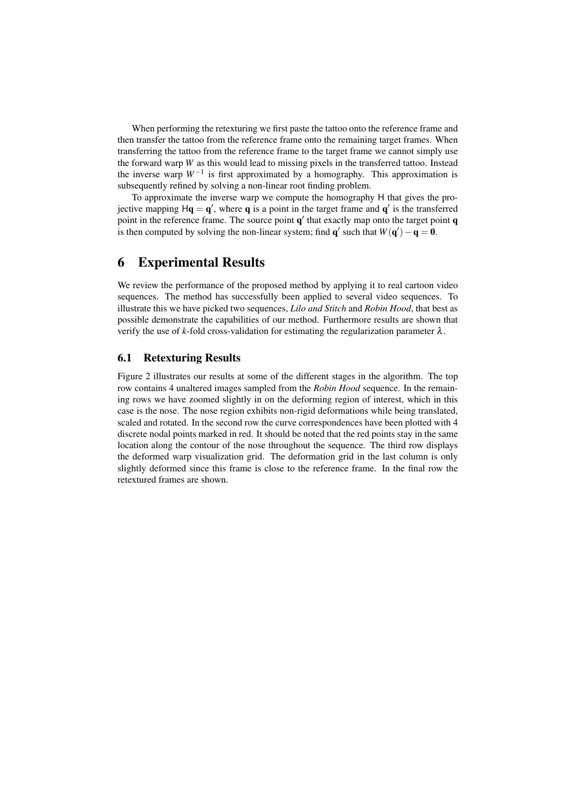When performing the retexturing we first paste the tattoo onto the reference frame and then transfer the tattoo from the reference frame onto the remaining target frames. When transferring the tattoo from the reference frame to the target frame we cannot simply use the forward warp *W* as this would lead to missing pixels in the transferred tattoo. Instead the inverse warp *W*−<sup>1</sup> is first approximated by a homography. This approximation is subsequently refined by solving a non-linear root finding problem.

To approximate the inverse warp we compute the homography H that gives the projective mapping  $H\mathbf{q} = \mathbf{q}'$ , where  $\mathbf{q}$  is a point in the target frame and  $\mathbf{q}'$  is the transferred point in the reference frame. The source point  $q'$  that exactly map onto the target point  $q$ is then computed by solving the non-linear system; find  $\mathbf{q}'$  such that  $W(\mathbf{q}') - \mathbf{q} = \mathbf{0}$ .

## 6 Experimental Results

We review the performance of the proposed method by applying it to real cartoon video sequences. The method has successfully been applied to several video sequences. To illustrate this we have picked two sequences, *Lilo and Stitch* and *Robin Hood*, that best as possible demonstrate the capabilities of our method. Furthermore results are shown that verify the use of *k*-fold cross-validation for estimating the regularization parameter  $\lambda$ .

#### 6.1 Retexturing Results

Figure 2 illustrates our results at some of the different stages in the algorithm. The top row contains 4 unaltered images sampled from the *Robin Hood* sequence. In the remaining rows we have zoomed slightly in on the deforming region of interest, which in this case is the nose. The nose region exhibits non-rigid deformations while being translated, scaled and rotated. In the second row the curve correspondences have been plotted with 4 discrete nodal points marked in red. It should be noted that the red points stay in the same location along the contour of the nose throughout the sequence. The third row displays the deformed warp visualization grid. The deformation grid in the last column is only slightly deformed since this frame is close to the reference frame. In the final row the retextured frames are shown.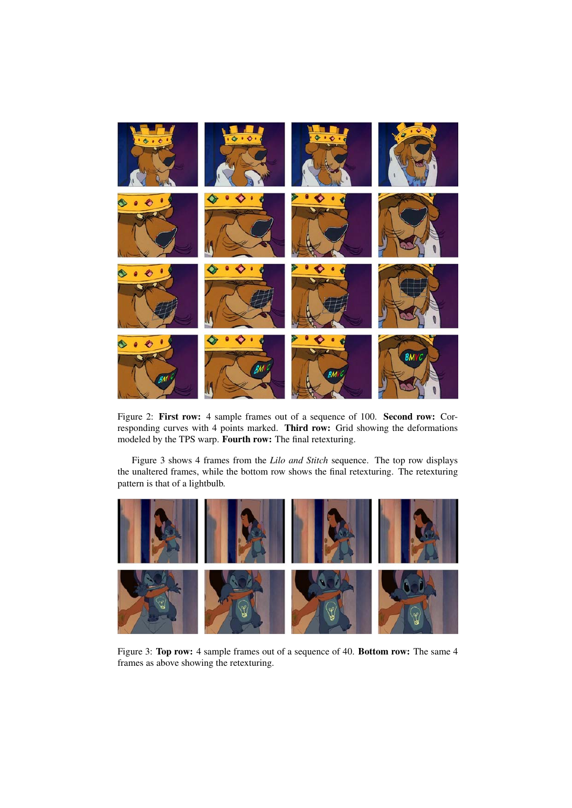

Figure 2: First row: 4 sample frames out of a sequence of 100. Second row: Corresponding curves with 4 points marked. Third row: Grid showing the deformations modeled by the TPS warp. Fourth row: The final retexturing.

Figure 3 shows 4 frames from the *Lilo and Stitch* sequence. The top row displays the unaltered frames, while the bottom row shows the final retexturing. The retexturing pattern is that of a lightbulb.



Figure 3: Top row: 4 sample frames out of a sequence of 40. Bottom row: The same 4 frames as above showing the retexturing.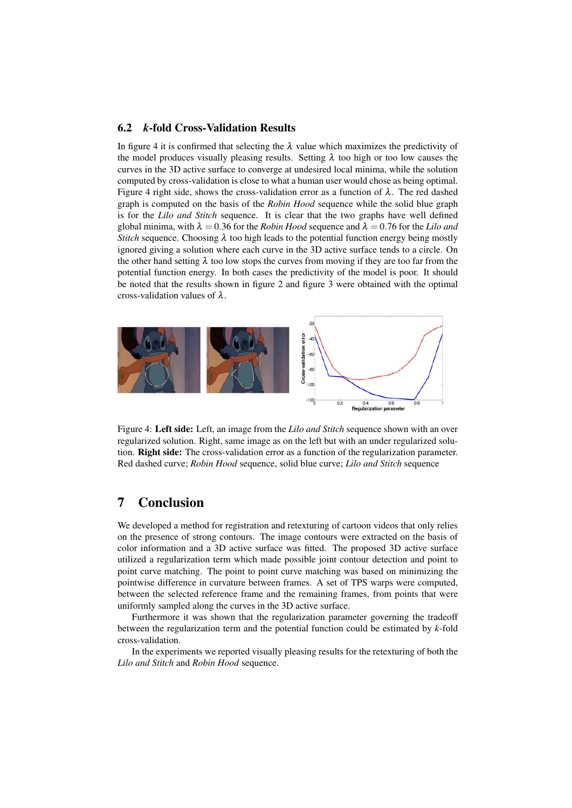#### 6.2 *k*-fold Cross-Validation Results

In figure 4 it is confirmed that selecting the  $\lambda$  value which maximizes the predictivity of the model produces visually pleasing results. Setting  $\lambda$  too high or too low causes the curves in the 3D active surface to converge at undesired local minima, while the solution computed by cross-validation is close to what a human user would chose as being optimal. Figure 4 right side, shows the cross-validation error as a function of  $\lambda$ . The red dashed graph is computed on the basis of the *Robin Hood* sequence while the solid blue graph is for the *Lilo and Stitch* sequence. It is clear that the two graphs have well defined global minima, with  $\lambda = 0.36$  for the *Robin Hood* sequence and  $\lambda = 0.76$  for the *Lilo and Stitch* sequence. Choosing  $\lambda$  too high leads to the potential function energy being mostly ignored giving a solution where each curve in the 3D active surface tends to a circle. On the other hand setting  $\lambda$  too low stops the curves from moving if they are too far from the potential function energy. In both cases the predictivity of the model is poor. It should be noted that the results shown in figure 2 and figure 3 were obtained with the optimal cross-validation values of  $\lambda$ .



Figure 4: Left side: Left, an image from the *Lilo and Stitch* sequence shown with an over regularized solution. Right, same image as on the left but with an under regularized solution. Right side: The cross-validation error as a function of the regularization parameter. Red dashed curve; *Robin Hood* sequence, solid blue curve; *Lilo and Stitch* sequence

## 7 Conclusion

We developed a method for registration and retexturing of cartoon videos that only relies on the presence of strong contours. The image contours were extracted on the basis of color information and a 3D active surface was fitted. The proposed 3D active surface utilized a regularization term which made possible joint contour detection and point to point curve matching. The point to point curve matching was based on minimizing the pointwise difference in curvature between frames. A set of TPS warps were computed, between the selected reference frame and the remaining frames, from points that were uniformly sampled along the curves in the 3D active surface.

Furthermore it was shown that the regularization parameter governing the tradeoff between the regularization term and the potential function could be estimated by *k*-fold cross-validation.

In the experiments we reported visually pleasing results for the retexturing of both the *Lilo and Stitch* and *Robin Hood* sequence.